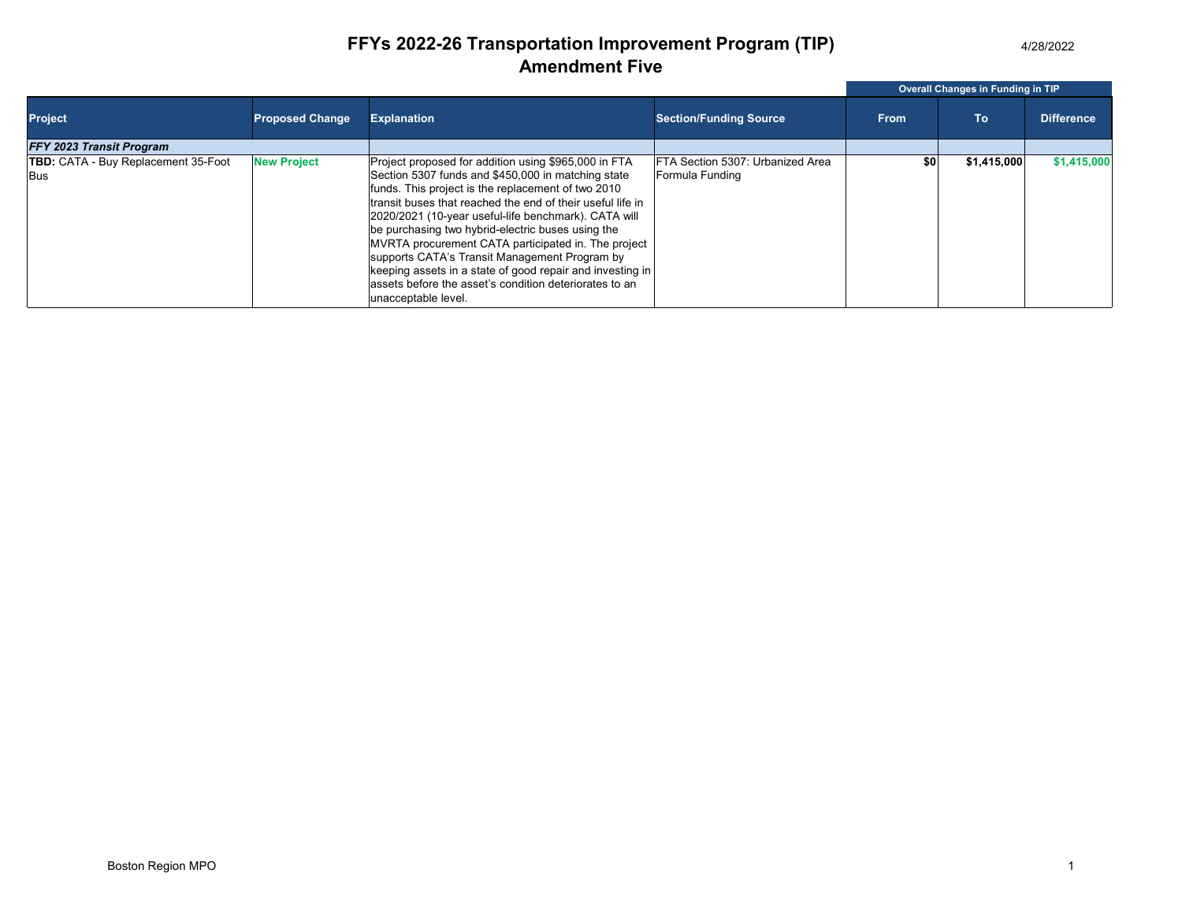4/28/2022

## **FFYs 2022-26 Transportation Improvement Program (TIP) Amendment Five**

|                                                   |                        |                                                                                                                                                                                                                                                                                                                                                                                                                                                                                                                                                                                                   |                                                     | Overall Changes in Funding in TIP |             |                   |  |
|---------------------------------------------------|------------------------|---------------------------------------------------------------------------------------------------------------------------------------------------------------------------------------------------------------------------------------------------------------------------------------------------------------------------------------------------------------------------------------------------------------------------------------------------------------------------------------------------------------------------------------------------------------------------------------------------|-----------------------------------------------------|-----------------------------------|-------------|-------------------|--|
| <b>Project</b>                                    | <b>Proposed Change</b> | <b>Explanation</b>                                                                                                                                                                                                                                                                                                                                                                                                                                                                                                                                                                                | <b>Section/Funding Source</b>                       | <b>From</b>                       | To          | <b>Difference</b> |  |
| <b>FFY 2023 Transit Program</b>                   |                        |                                                                                                                                                                                                                                                                                                                                                                                                                                                                                                                                                                                                   |                                                     |                                   |             |                   |  |
| <b>TBD:</b> CATA - Buy Replacement 35-Foot<br>Bus | <b>New Project</b>     | Project proposed for addition using \$965,000 in FTA<br>Section 5307 funds and \$450,000 in matching state<br>funds. This project is the replacement of two 2010<br>transit buses that reached the end of their useful life in<br>2020/2021 (10-year useful-life benchmark). CATA will<br>be purchasing two hybrid-electric buses using the<br>MVRTA procurement CATA participated in. The project<br>supports CATA's Transit Management Program by<br>keeping assets in a state of good repair and investing in<br>assets before the asset's condition deteriorates to an<br>unacceptable level. | FTA Section 5307: Urbanized Area<br>Formula Funding | \$0                               | \$1,415,000 | \$1,415,000       |  |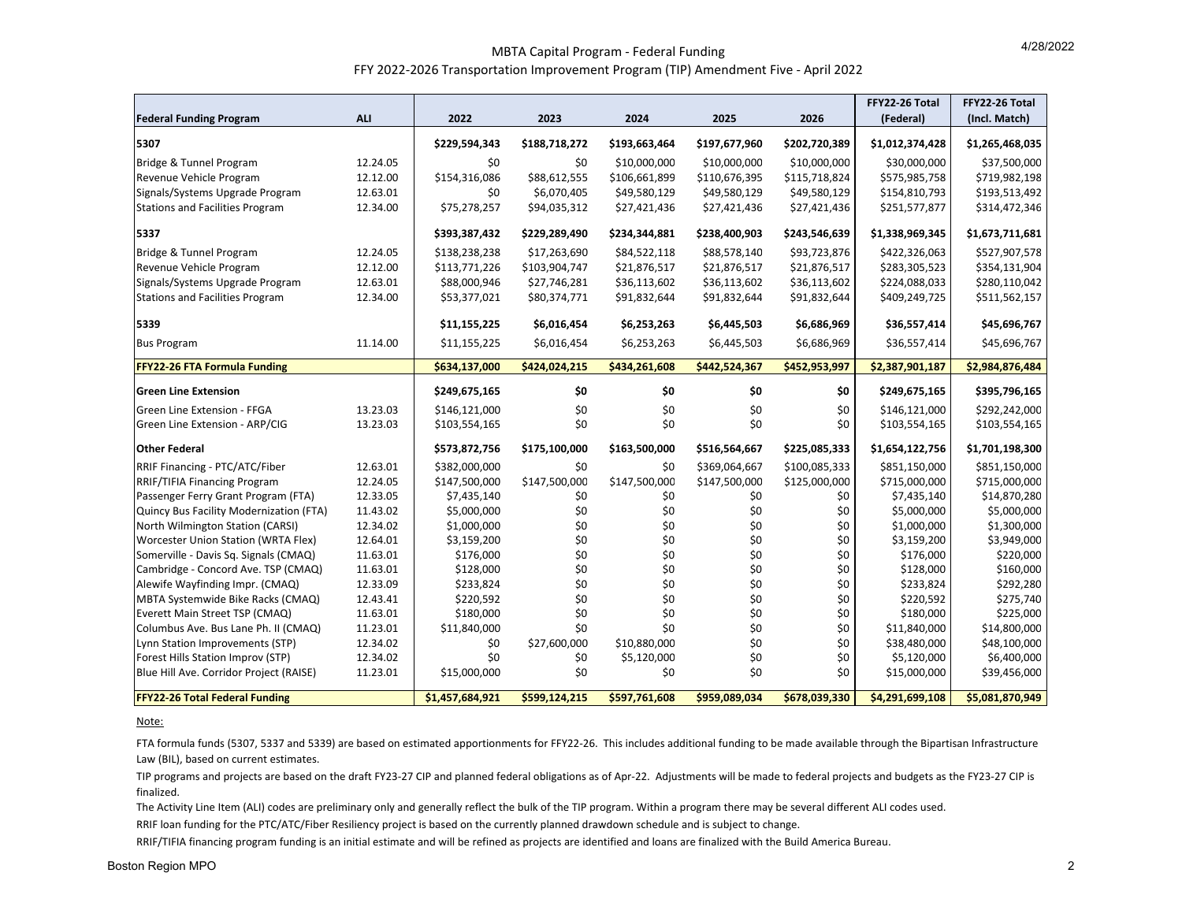## MBTA Capital Program ‐ Federal Funding FFY <sup>2022</sup>‐<sup>2026</sup> Transportation Improvement Program (TIP) Amendment Five ‐ April <sup>2022</sup>

|                                         |            |                 |               |               |               |               | FFY22-26 Total  | FFY22-26 Total  |
|-----------------------------------------|------------|-----------------|---------------|---------------|---------------|---------------|-----------------|-----------------|
| <b>Federal Funding Program</b>          | <b>ALI</b> | 2022            | 2023          | 2024          | 2025          | 2026          | (Federal)       | (Incl. Match)   |
| 5307                                    |            | \$229,594,343   | \$188,718,272 | \$193,663,464 | \$197,677,960 | \$202,720,389 | \$1,012,374,428 | \$1,265,468,035 |
| Bridge & Tunnel Program                 | 12.24.05   | \$0             | \$0           | \$10,000,000  | \$10,000,000  | \$10,000,000  | \$30,000,000    | \$37,500,000    |
| Revenue Vehicle Program                 | 12.12.00   | \$154,316,086   | \$88,612,555  | \$106,661,899 | \$110,676,395 | \$115,718,824 | \$575,985,758   | \$719,982,198   |
| Signals/Systems Upgrade Program         | 12.63.01   | \$0             | \$6,070,405   | \$49,580,129  | \$49,580,129  | \$49,580,129  | \$154,810,793   | \$193,513,492   |
| <b>Stations and Facilities Program</b>  | 12.34.00   | \$75,278,257    | \$94,035,312  | \$27,421,436  | \$27,421,436  | \$27,421,436  | \$251,577,877   | \$314,472,346   |
| 5337                                    |            | \$393,387,432   | \$229,289,490 | \$234,344,881 | \$238,400,903 | \$243,546,639 | \$1,338,969,345 | \$1,673,711,681 |
| Bridge & Tunnel Program                 | 12.24.05   | \$138,238,238   | \$17,263,690  | \$84,522,118  | \$88,578,140  | \$93,723,876  | \$422,326,063   | \$527,907,578   |
| Revenue Vehicle Program                 | 12.12.00   | \$113,771,226   | \$103,904,747 | \$21,876,517  | \$21,876,517  | \$21,876,517  | \$283,305,523   | \$354,131,904   |
| Signals/Systems Upgrade Program         | 12.63.01   | \$88,000,946    | \$27,746,281  | \$36,113,602  | \$36,113,602  | \$36,113,602  | \$224,088,033   | \$280,110,042   |
| <b>Stations and Facilities Program</b>  | 12.34.00   | \$53,377,021    | \$80,374,771  | \$91,832,644  | \$91,832,644  | \$91,832,644  | \$409,249,725   | \$511,562,157   |
| 5339                                    |            | \$11,155,225    | \$6,016,454   | \$6,253,263   | \$6,445,503   | \$6,686,969   | \$36,557,414    | \$45,696,767    |
| <b>Bus Program</b>                      | 11.14.00   | \$11,155,225    | \$6,016,454   | \$6,253,263   | \$6,445,503   | \$6,686,969   | \$36,557,414    | \$45,696,767    |
| <b>FFY22-26 FTA Formula Funding</b>     |            | \$634,137,000   | \$424,024,215 | \$434,261,608 | \$442,524,367 | \$452,953,997 | \$2,387,901,187 | \$2,984,876,484 |
| <b>Green Line Extension</b>             |            | \$249,675,165   | \$0           | \$0           | \$0           | \$0           | \$249,675,165   | \$395,796,165   |
| <b>Green Line Extension - FFGA</b>      | 13.23.03   | \$146,121,000   | \$0           | \$0           | \$0           | \$0           | \$146,121,000   | \$292,242,000   |
| Green Line Extension - ARP/CIG          | 13.23.03   | \$103,554,165   | \$0           | \$0           | \$0           | \$0           | \$103,554,165   | \$103,554,165   |
| <b>Other Federal</b>                    |            | \$573,872,756   | \$175,100,000 | \$163,500,000 | \$516,564,667 | \$225,085,333 | \$1,654,122,756 | \$1,701,198,300 |
| RRIF Financing - PTC/ATC/Fiber          | 12.63.01   | \$382,000,000   | \$0           | \$0           | \$369,064,667 | \$100,085,333 | \$851,150,000   | \$851,150,000   |
| <b>RRIF/TIFIA Financing Program</b>     | 12.24.05   | \$147,500,000   | \$147,500,000 | \$147,500,000 | \$147,500,000 | \$125,000,000 | \$715,000,000   | \$715,000,000   |
| Passenger Ferry Grant Program (FTA)     | 12.33.05   | \$7,435,140     | \$0           | \$0           | \$0           | \$0           | \$7,435,140     | \$14,870,280    |
| Quincy Bus Facility Modernization (FTA) | 11.43.02   | \$5,000,000     | \$0           | \$0           | \$0           | \$0           | \$5,000,000     | \$5,000,000     |
| North Wilmington Station (CARSI)        | 12.34.02   | \$1,000,000     | \$0           | \$0           | \$0           | \$0           | \$1,000,000     | \$1,300,000     |
| Worcester Union Station (WRTA Flex)     | 12.64.01   | \$3,159,200     | \$0           | \$0           | \$0           | \$0           | \$3,159,200     | \$3,949,000     |
| Somerville - Davis Sq. Signals (CMAQ)   | 11.63.01   | \$176,000       | \$0           | \$0           | \$0           | \$0           | \$176,000       | \$220,000       |
| Cambridge - Concord Ave. TSP (CMAQ)     | 11.63.01   | \$128,000       | \$0           | \$0           | \$0           | \$0           | \$128,000       | \$160,000       |
| Alewife Wayfinding Impr. (CMAQ)         | 12.33.09   | \$233,824       | \$0           | \$0           | \$0           | \$0           | \$233,824       | \$292,280       |
| MBTA Systemwide Bike Racks (CMAQ)       | 12.43.41   | \$220,592       | \$0           | \$0           | \$0           | \$0           | \$220,592       | \$275,740       |
| Everett Main Street TSP (CMAQ)          | 11.63.01   | \$180,000       | \$0           | \$0           | \$0           | \$0           | \$180,000       | \$225,000       |
| Columbus Ave. Bus Lane Ph. II (CMAQ)    | 11.23.01   | \$11,840,000    | \$0           | \$0           | \$0           | \$0           | \$11,840,000    | \$14,800,000    |
| Lynn Station Improvements (STP)         | 12.34.02   | \$0             | \$27,600,000  | \$10,880,000  | \$0           | \$0           | \$38,480,000    | \$48,100,000    |
| Forest Hills Station Improv (STP)       | 12.34.02   | \$0             | $$0$$         | \$5,120,000   | \$0           | \$0           | \$5,120,000     | \$6,400,000     |
| Blue Hill Ave. Corridor Project (RAISE) | 11.23.01   | \$15,000,000    | \$0           | \$0           | \$0           | \$0           | \$15,000,000    | \$39,456,000    |
| <b>FFY22-26 Total Federal Funding</b>   |            | \$1,457,684,921 | \$599,124,215 | \$597,761,608 | \$959,089,034 | \$678,039,330 | \$4,291,699,108 | \$5,081,870,949 |

Note:

FTA formula funds (5307, 5337 and 5339) are based on estimated apportionments for FFY22‐26. This includes additional funding to be made available through the Bipartisan Infrastructure Law (BIL), based on current estimates.

TIP programs and projects are based on the draft FY23‐27 CIP and planned federal obligations as of Apr‐22. Adjustments will be made to federal projects and budgets as the FY23‐27 CIP is finalized.

The Activity Line Item (ALI) codes are preliminary only and generally reflect the bulk of the TIP program. Within <sup>a</sup> program there may be several different ALI codes used.

RRIF loan funding for the PTC/ATC/Fiber Resiliency project is based on the currently planned drawdown schedule and is subject to change.

RRIF/TIFIA financing program funding is an initial estimate and will be refined as projects are identified and loans are finalized with the Build America Bureau.